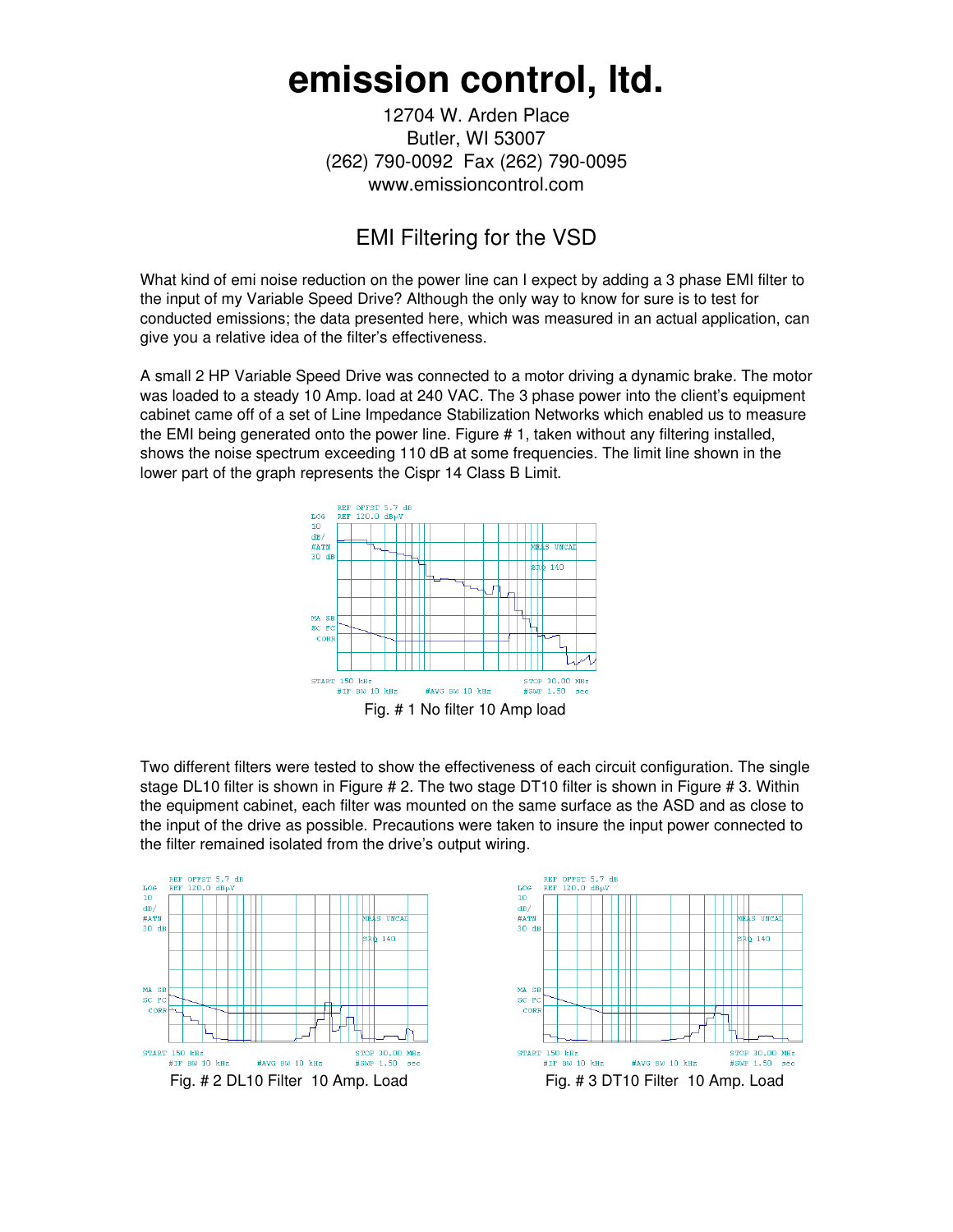## **emission control, ltd.**

12704 W. Arden Place Butler, WI 53007 (262) 790-0092 Fax (262) 790-0095 www.emissioncontrol.com

## EMI Filtering for the VSD

What kind of emi noise reduction on the power line can I expect by adding a 3 phase EMI filter to the input of my Variable Speed Drive? Although the only way to know for sure is to test for conducted emissions; the data presented here, which was measured in an actual application, can give you a relative idea of the filter's effectiveness.

A small 2 HP Variable Speed Drive was connected to a motor driving a dynamic brake. The motor was loaded to a steady 10 Amp. load at 240 VAC. The 3 phase power into the client's equipment cabinet came off of a set of Line Impedance Stabilization Networks which enabled us to measure the EMI being generated onto the power line. Figure # 1, taken without any filtering installed, shows the noise spectrum exceeding 110 dB at some frequencies. The limit line shown in the lower part of the graph represents the Cispr 14 Class B Limit.



Two different filters were tested to show the effectiveness of each circuit configuration. The single stage DL10 filter is shown in Figure # 2. The two stage DT10 filter is shown in Figure # 3. Within the equipment cabinet, each filter was mounted on the same surface as the ASD and as close to the input of the drive as possible. Precautions were taken to insure the input power connected to the filter remained isolated from the drive's output wiring.